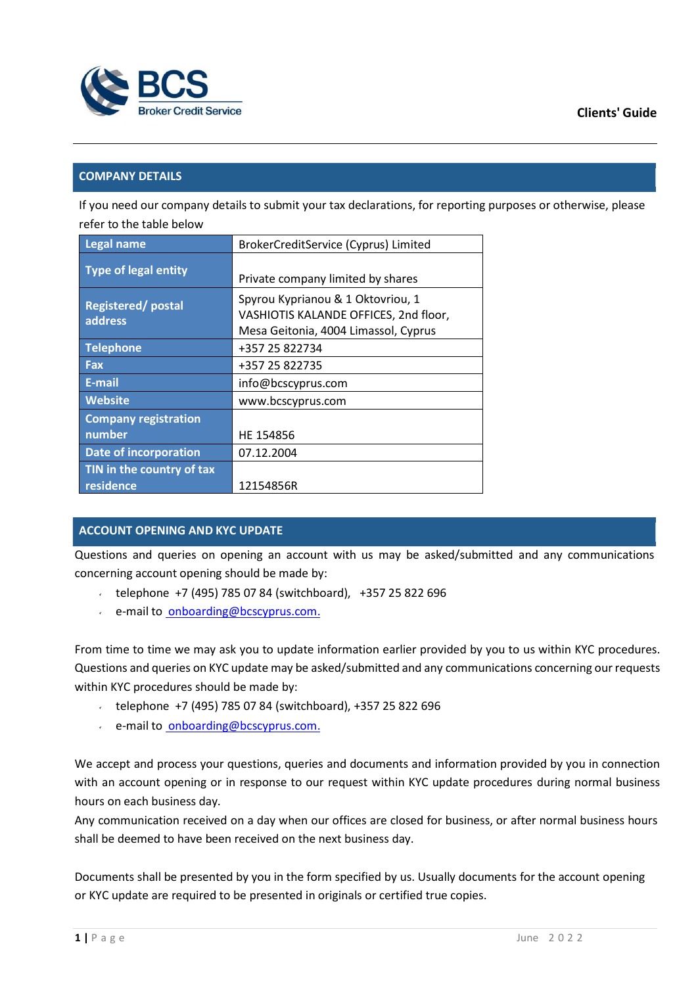

## **COMPANY DETAILS**

If you need our company details to submit your tax declarations, for reporting purposes or otherwise, please refer to the table below

| <b>Legal name</b>                      | BrokerCreditService (Cyprus) Limited                                                                               |
|----------------------------------------|--------------------------------------------------------------------------------------------------------------------|
| <b>Type of legal entity</b>            | Private company limited by shares                                                                                  |
| <b>Registered/postal</b><br>address    | Spyrou Kyprianou & 1 Oktovriou, 1<br>VASHIOTIS KALANDE OFFICES, 2nd floor,<br>Mesa Geitonia, 4004 Limassol, Cyprus |
| <b>Telephone</b>                       | +357 25 822734                                                                                                     |
| Fax                                    | +357 25 822735                                                                                                     |
| E-mail                                 | info@bcscyprus.com                                                                                                 |
| <b>Website</b>                         | www.bcscyprus.com                                                                                                  |
| <b>Company registration</b>            |                                                                                                                    |
| number                                 | HE 154856                                                                                                          |
| <b>Date of incorporation</b>           | 07.12.2004                                                                                                         |
| TIN in the country of tax<br>residence | 12154856R                                                                                                          |

# **ACCOUNT OPENING AND KYC UPDATE**

Questions and queries on opening an account with us may be asked/submitted and any communications concerning account opening should be made by:

- telephone +7 (495) 785 07 84 (switchboard), +357 25 822 696
- e-mail to [onboarding@bcscyprus.com.](mailto:%20onboarding@bcscyprus.com)

From time to time we may ask you to update information earlier provided by you to us within KYC procedures. Questions and queries on KYC update may be asked/submitted and any communications concerning our requests within KYC procedures should be made by:

- telephone +7 (495) 785 07 84 (switchboard), +357 25 822 696
- e-mail to [onboarding@bcscyprus.com.](mailto:%20onboarding@bcscyprus.com)

We accept and process your questions, queries and documents and information provided by you in connection with an account opening or in response to our request within KYC update procedures during normal business hours on each business day.

Any communication received on a day when our offices are closed for business, or after normal business hours shall be deemed to have been received on the next business day.

Documents shall be presented by you in the form specified by us. Usually documents for the account opening or KYC update are required to be presented in originals or certified true copies.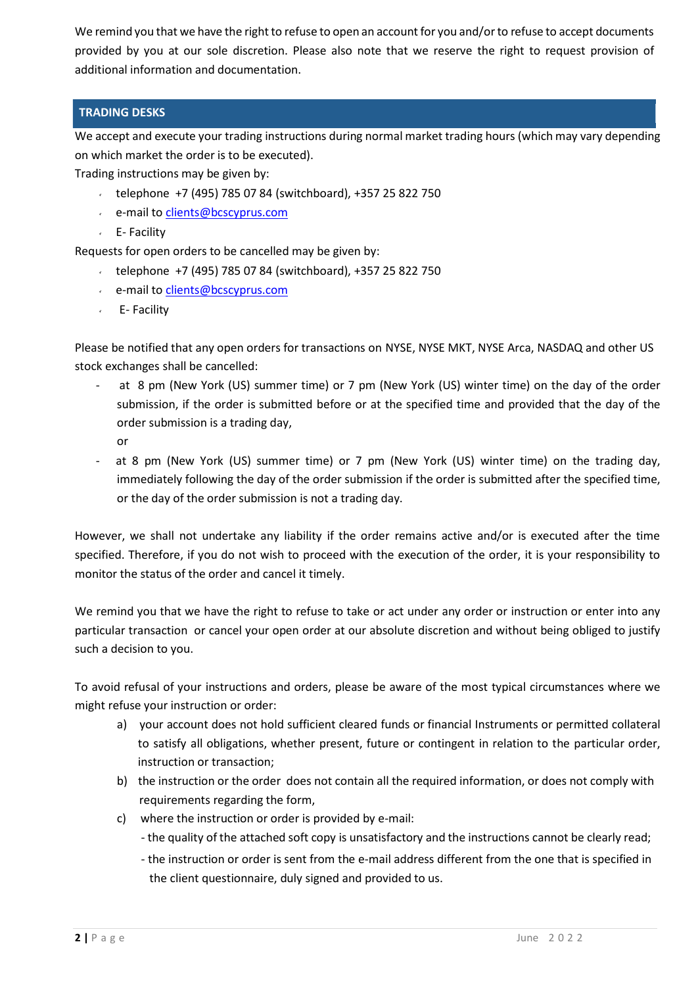We remind you that we have the right to refuse to open an account for you and/or to refuse to accept documents provided by you at our sole discretion. Please also note that we reserve the right to request provision of additional information and documentation.

## **TRADING DESKS**

We accept and execute your trading instructions during normal market trading hours (which may vary depending on which market the order is to be executed).

Trading instructions may be given by:

- telephone +7 (495) 785 07 84 (switchboard), +357 25 822 750
- e-mail to [clients@bcscyprus.com](mailto:clients@bcscyprus.com)
- $\angle$  E- Facility

Requests for open orders to be cancelled may be given by:

- $\cdot$  telephone +7 (495) 785 07 84 (switchboard), +357 25 822 750
- e-mail to [clients@bcscyprus.com](mailto:clients@bcscyprus.com)
- E- Facility

Please be notified that any open orders for transactions on NYSE, NYSE MKT, NYSE Arca, NASDAQ and other US stock exchanges shall be cancelled:

- at 8 pm (New York (US) summer time) or 7 pm (New York (US) winter time) on the day of the order submission, if the order is submitted before or at the specified time and provided that the day of the order submission is a trading day,
	- or
- at 8 pm (New York (US) summer time) or 7 pm (New York (US) winter time) on the trading day, immediately following the day of the order submission if the order is submitted after the specified time, or the day of the order submission is not a trading day.

However, we shall not undertake any liability if the order remains active and/or is executed after the time specified. Therefore, if you do not wish to proceed with the execution of the order, it is your responsibility to monitor the status of the order and cancel it timely.

We remind you that we have the right to refuse to take or act under any order or instruction or enter into any particular transaction or cancel your open order at our absolute discretion and without being obliged to justify such a decision to you.

To avoid refusal of your instructions and orders, please be aware of the most typical circumstances where we might refuse your instruction or order:

- a) your account does not hold sufficient cleared funds or financial Instruments or permitted collateral to satisfy all obligations, whether present, future or contingent in relation to the particular order, instruction or transaction;
- b) the instruction or the order does not contain all the required information, or does not comply with requirements regarding the form,
- c) where the instruction or order is provided by e-mail:
	- the quality of the attached soft copy is unsatisfactory and the instructions cannot be clearly read;
	- the instruction or order is sent from the e-mail address different from the one that is specified in the client questionnaire, duly signed and provided to us.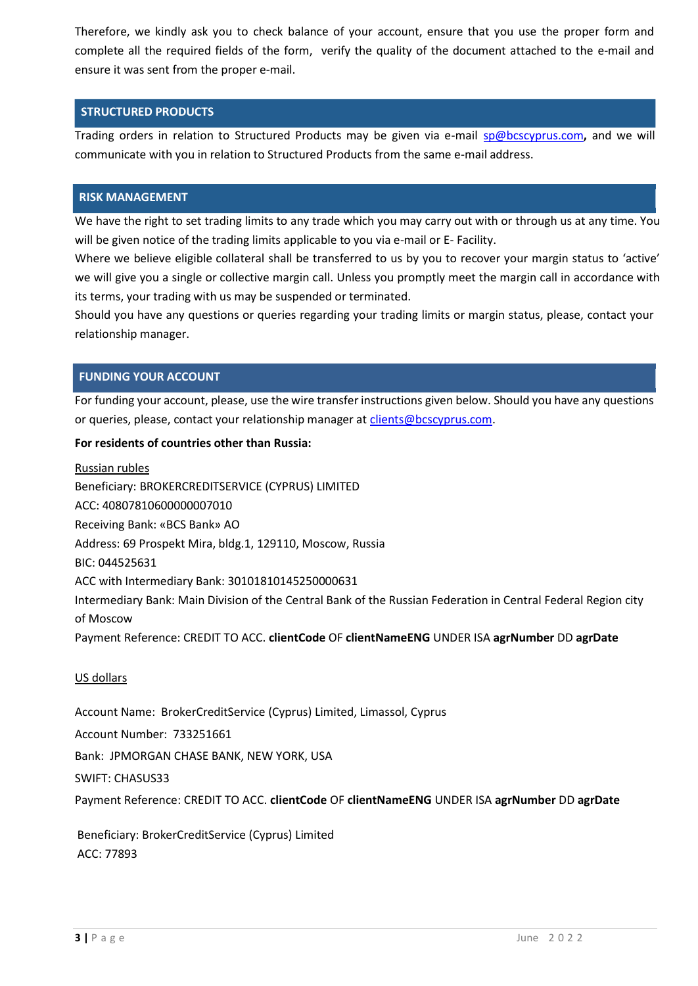Therefore, we kindly ask you to check balance of your account, ensure that you use the proper form and complete all the required fields of the form, verify the quality of the document attached to the e-mail and ensure it was sent from the proper e-mail.

## **STRUCTURED PRODUCTS**

Trading orders in relation to Structured Products may be given via e-mail [sp@bcscyprus.com](mailto:sp@bcscyprus.com)**,** and we will communicate with you in relation to Structured Products from the same e-mail address.

### **RISK MANAGEMENT**

We have the right to set trading limits to any trade which you may carry out with or through us at any time. You will be given notice of the trading limits applicable to you via e-mail or E- Facility.

Where we believe eligible collateral shall be transferred to us by you to recover your margin status to 'active' we will give you a single or collective margin call. Unless you promptly meet the margin call in accordance with its terms, your trading with us may be suspended or terminated.

Should you have any questions or queries regarding your trading limits or margin status, please, contact your relationship manager.

## **FUNDING YOUR ACCOUNT**

For funding your account, please, use the wire transferinstructions given below. Should you have any questions or queries, please, contact your relationship manager at [clients@bcscyprus.com.](mailto:clients@bcscyprus.com)

### **For residents of countries other than Russia:**

Russian rubles Beneficiary: BROKERCREDITSERVICE (CYPRUS) LIMITED ACC: 40807810600000007010 Receiving Bank: «BCS Bank» АО Address: 69 Prospekt Mira, bldg.1, 129110, Moscow, Russia BIC: 044525631 ACC with Intermediary Bank: 30101810145250000631 Intermediary Bank: Main Division of the Central Bank of the Russian Federation in Central Federal Region city of Moscow Payment Reference: CREDIT TO ACC. **clientCode** OF **clientNameENG** UNDER ISA **agrNumber** DD **agrDate**

### US dollars

Account Name: BrokerCreditService (Cyprus) Limited, Limassol, Cyprus

Account Number: 733251661

Bank: JPMORGAN CHASE BANK, NEW YORK, USA

SWIFT: CHASUS33

Payment Reference: CREDIT TO ACC. **clientCode** OF **clientNameENG** UNDER ISA **agrNumber** DD **agrDate**

Beneficiary: BrokerCreditService (Cyprus) Limited ACC: 77893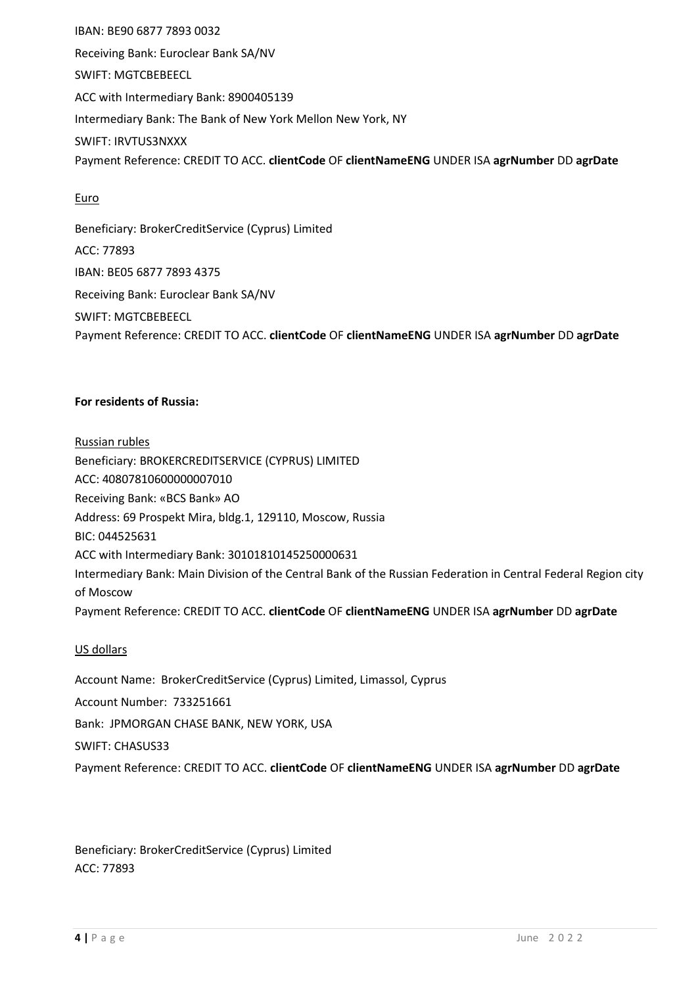IBAN: BE90 6877 7893 0032 Receiving Bank: Euroclear Bank SA/NV SWIFT: MGTCBEBEECL ACC with Intermediary Bank: 8900405139 Intermediary Bank: The Bank of New York Mellon New York, NY SWIFT: IRVTUS3NXXX Payment Reference: CREDIT TO ACC. **clientCode** OF **clientNameENG** UNDER ISA **agrNumber** DD **agrDate**

## **Euro**

Beneficiary: BrokerCreditService (Cyprus) Limited ACC: 77893 IBAN: BE05 6877 7893 4375 Receiving Bank: Euroclear Bank SA/NV SWIFT: MGTCBEBEECL Payment Reference: CREDIT TO ACC. **clientCode** OF **clientNameENG** UNDER ISA **agrNumber** DD **agrDate**

## **For residents of Russia:**

Russian rubles Beneficiary: BROKERCREDITSERVICE (CYPRUS) LIMITED ACC: 40807810600000007010 Receiving Bank: «BCS Bank» АО Address: 69 Prospekt Mira, bldg.1, 129110, Moscow, Russia BIC: 044525631 ACC with Intermediary Bank: 30101810145250000631 Intermediary Bank: Main Division of the Central Bank of the Russian Federation in Central Federal Region city of Moscow Payment Reference: CREDIT TO ACC. **clientCode** OF **clientNameENG** UNDER ISA **agrNumber** DD **agrDate**

## US dollars

Account Name: BrokerCreditService (Cyprus) Limited, Limassol, Cyprus Account Number: 733251661 Bank: JPMORGAN CHASE BANK, NEW YORK, USA SWIFT: CHASUS33 Payment Reference: CREDIT TO ACC. **clientCode** OF **clientNameENG** UNDER ISA **agrNumber** DD **agrDate**

Beneficiary: BrokerCreditService (Cyprus) Limited ACC: 77893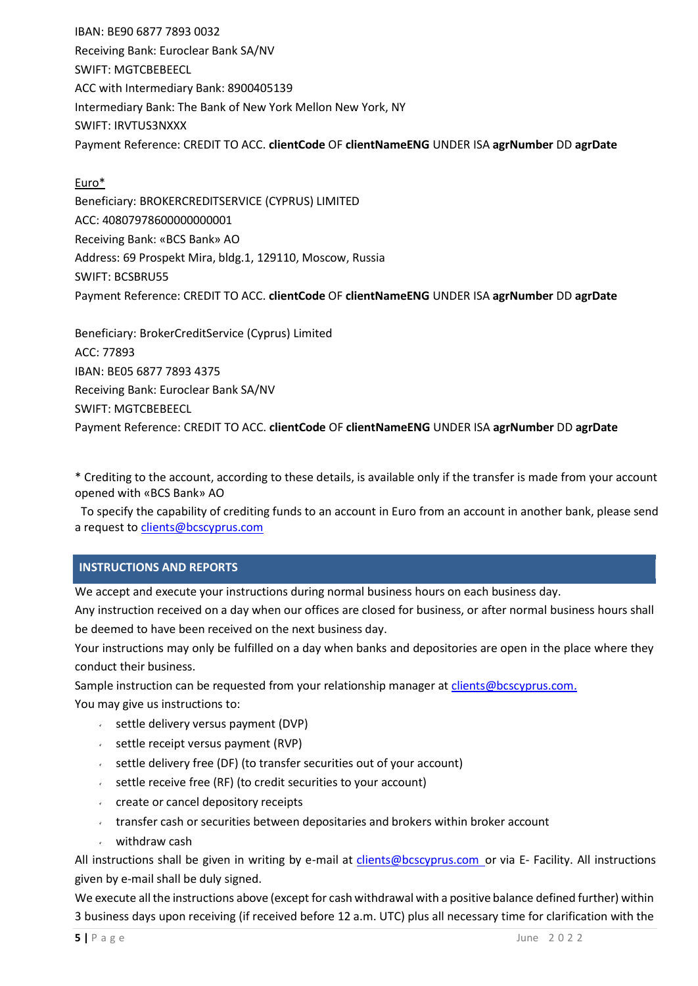IBAN: BE90 6877 7893 0032 Receiving Bank: Euroclear Bank SA/NV SWIFT: MGTCBEBEECL ACC with Intermediary Bank: 8900405139 Intermediary Bank: The Bank of New York Mellon New York, NY SWIFT: IRVTUS3NXXX Payment Reference: CREDIT TO ACC. **clientCode** OF **clientNameENG** UNDER ISA **agrNumber** DD **agrDate**

## Euro\*

Beneficiary: BROKERCREDITSERVICE (CYPRUS) LIMITED ACC: 40807978600000000001 Receiving Bank: «BCS Bank» АО Address: 69 Prospekt Mira, bldg.1, 129110, Moscow, Russia SWIFT: BCSBRU55 Payment Reference: CREDIT TO ACC. **clientCode** OF **clientNameENG** UNDER ISA **agrNumber** DD **agrDate**

Beneficiary: BrokerCreditService (Cyprus) Limited ACC: 77893 IBAN: BE05 6877 7893 4375 Receiving Bank: Euroclear Bank SA/NV SWIFT: MGTCBEBEECL Payment Reference: CREDIT TO ACC. **clientCode** OF **clientNameENG** UNDER ISA **agrNumber** DD **agrDate**

\* Crediting to the account, according to these details, is available only if the transfer is made from your account opened with «BCS Bank» АО

 To specify the capability of crediting funds to an account in Euro from an account in another bank, please send a request to [clients@bcscyprus.com](mailto:clients@bcscyprus.com)

## **INSTRUCTIONS AND REPORTS**

We accept and execute your instructions during normal business hours on each business day.

Any instruction received on a day when our offices are closed for business, or after normal business hours shall be deemed to have been received on the next business day.

Your instructions may only be fulfilled on a day when banks and depositories are open in the place where they conduct their business.

Sample instruction can be requested from your relationship manager at [clients@bcscyprus.com.](mailto:clients@bcscyprus.com) You may give us instructions to:

- $\sim$  settle delivery versus payment (DVP)
- $\sim$  settle receipt versus payment (RVP)
- $\sim$  settle delivery free (DF) (to transfer securities out of your account)
- $\sim$  settle receive free (RF) (to credit securities to your account)
- create or cancel depository receipts
- $\cdot$  transfer cash or securities between depositaries and brokers within broker account
- withdraw cash

All instructions shall be given in writing by e-mail at [clients@bcscyprus.com](mailto:clients@bcscyprus.com) or via E- Facility. All instructions given by e-mail shall be duly signed.

We execute all the instructions above (except for cash withdrawal with a positive balance defined further) within 3 business days upon receiving (if received before 12 a.m. UTC) plus all necessary time for clarification with the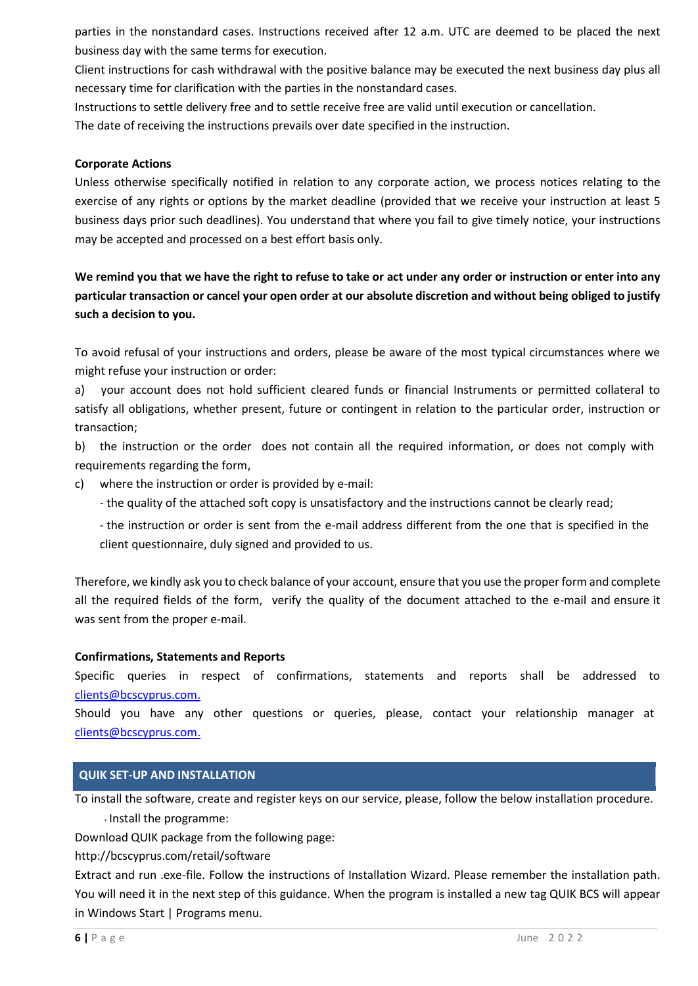parties in the nonstandard cases. Instructions received after 12 a.m. UTC are deemed to be placed the next business day with the same terms for execution.

Client instructions for cash withdrawal with the positive balance may be executed the next business day plus all necessary time for clarification with the parties in the nonstandard cases.

Instructions to settle delivery free and to settle receive free are valid until execution or cancellation.

The date of receiving the instructions prevails over date specified in the instruction.

### **Corporate Actions**

Unless otherwise specifically notified in relation to any corporate action, we process notices relating to the exercise of any rights or options by the market deadline (provided that we receive your instruction at least 5 business days prior such deadlines). You understand that where you fail to give timely notice, your instructions may be accepted and processed on a best effort basis only.

We remind you that we have the right to refuse to take or act under any order or instruction or enter into any particular transaction or cancel your open order at our absolute discretion and without being obliged to justify **such a decision to you.**

To avoid refusal of your instructions and orders, please be aware of the most typical circumstances where we might refuse your instruction or order:

a) your account does not hold sufficient cleared funds or financial Instruments or permitted collateral to satisfy all obligations, whether present, future or contingent in relation to the particular order, instruction or transaction;

b) the instruction or the order does not contain all the required information, or does not comply with requirements regarding the form,

c) where the instruction or order is provided by e-mail:

- the quality of the attached soft copy is unsatisfactory and the instructions cannot be clearly read;
- the instruction or order is sent from the e-mail address different from the one that is specified in the client questionnaire, duly signed and provided to us.

Therefore, we kindly ask you to check balance of your account, ensure that you use the proper form and complete all the required fields of the form, verify the quality of the document attached to the e-mail and ensure it was sent from the proper e-mail.

### **Confirmations, Statements and Reports**

Specific queries in respect of confirmations, statements and reports shall be addressed to [clients@bcscyprus.com.](mailto:clients@bcscyprus.com)

Should you have any other questions or queries, please, contact your relationship manager at [clients@bcscyprus.com.](mailto:clients@bcscyprus.com)

## **QUIK SET-UP AND INSTALLATION**

To install the software, create and register keys on our service, please, follow the below installation procedure. Install the programme:

Download QUIK package from the following page:

<http://bcscyprus.com/retail/software>

Extract and run .exe-file. Follow the instructions of Installation Wizard. Please remember the installation path. You will need it in the next step of this guidance. When the program is installed a new tag QUIK BCS will appear in Windows Start | Programs menu.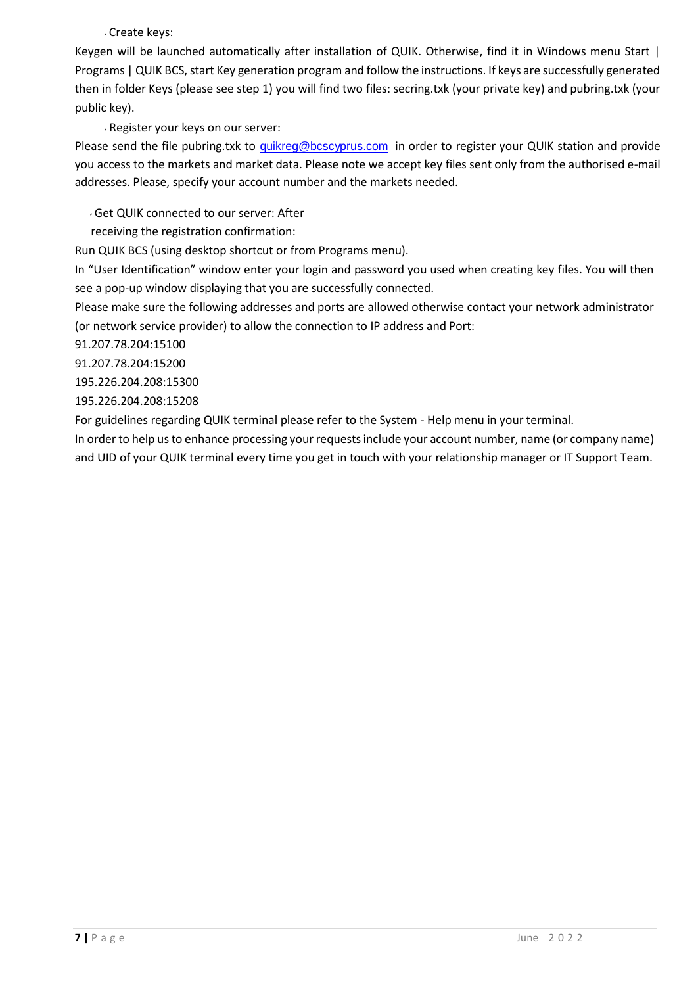## Create keys:

Keygen will be launched automatically after installation of QUIK. Otherwise, find it in Windows menu Start | Programs | QUIK BCS, start Key generation program and follow the instructions. If keys are successfully generated then in folder Keys (please see step 1) you will find two files: secring.txk (your private key) and pubring.txk (your public key).

## Register your keys on our server:

Please send the file pubring.txk to [quikreg@bcscyprus.com](mailto:quikreg@bcscyprus.com) in order to register your QUIK station and provide you access to the markets and market data. Please note we accept key files sent only from the authorised e-mail addresses. Please, specify your account number and the markets needed.

## Get QUIK connected to our server: After

receiving the registration confirmation:

Run QUIK BCS (using desktop shortcut or from Programs menu).

In "User Identification" window enter your login and password you used when creating key files. You will then see a pop-up window displaying that you are successfully connected.

Please make sure the following addresses and ports are allowed otherwise contact your network administrator (or network service provider) to allow the connection to IP address and Port:

91.207.78.204:15100

91.207.78.204:15200

195.226.204.208:15300

195.226.204.208:15208

For guidelines regarding QUIK terminal please refer to the System - Help menu in your terminal.

In order to help us to enhance processing your requests include your account number, name (or company name) and UID of your QUIK terminal every time you get in touch with your relationship manager or IT Support Team.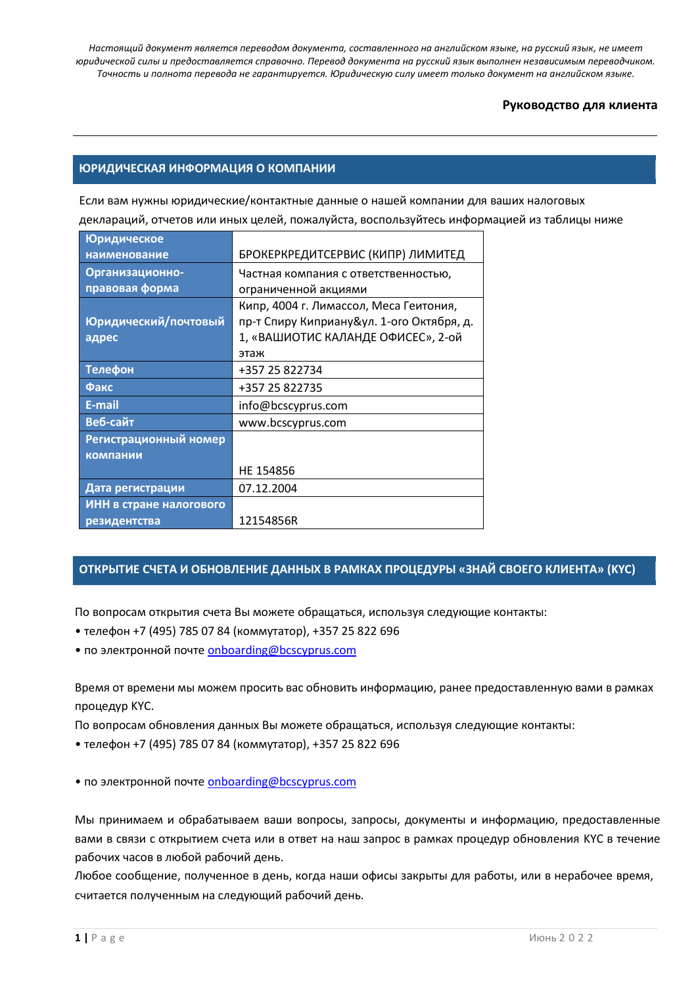## **Руководство для клиента**

### **ЮРИДИЧЕСКАЯ ИНФОРМАЦИЯ О КОМПАНИИ**

Если вам нужны юридические/контактные данные о нашей компании для ваших налоговых деклараций, отчетов или иных целей, пожалуйста, воспользуйтесь информацией из таблицы ниже

| <b>Юридическое</b>      |                                           |
|-------------------------|-------------------------------------------|
| наименование            | БРОКЕРКРЕДИТСЕРВИС (КИПР) ЛИМИТЕД         |
| Организационно-         | Частная компания с ответственностью,      |
| правовая форма          | ограниченной акциями                      |
|                         | Кипр, 4004 г. Лимассол, Меса Геитония,    |
| Юридический/почтовый    | пр-т Спиру Киприану&ул. 1-ого Октября, д. |
| адрес                   | 1, «ВАШИОТИС КАЛАНДЕ ОФИСЕС», 2-ой        |
|                         | этаж                                      |
| <b>Телефон</b>          | +357 25 822734                            |
| Факс                    | +357 25 822735                            |
| E-mail                  | info@bcscyprus.com                        |
| Веб-сайт                | www.bcscyprus.com                         |
| Регистрационный номер   |                                           |
| компании                |                                           |
|                         | HE 154856                                 |
| Дата регистрации        | 07.12.2004                                |
| ИНН в стране налогового |                                           |
| резидентства            | 12154856R                                 |

## **ОТКРЫТИЕ СЧЕТА И ОБНОВЛЕНИЕ ДАННЫХ В РАМКАХ ПРОЦЕДУРЫ «ЗНАЙ СВОЕГО КЛИЕНТА» (KYC)**

По вопросам открытия счета Вы можете обращаться, используя следующие контакты:

- телефон +7 (495) 785 07 84 (коммутатор), +357 25 822 696
- по электронной почте [onboarding@bcscyprus.com](mailto:onboarding@bcscyprus.com)

Время от времени мы можем просить вас обновить информацию, ранее предоставленную вами в рамках процедур KYC.

По вопросам обновления данных Вы можете обращаться, используя следующие контакты:

- телефон +7 (495) 785 07 84 (коммутатор), +357 25 822 696
- по электронной почте [onboarding@bcscyprus.com](mailto:onboarding@bcscyprus.com)

Мы принимаем и обрабатываем ваши вопросы, запросы, документы и информацию, предоставленные вами в связи с открытием счета или в ответ на наш запрос в рамках процедур обновления KYC в течение рабочих часов в любой рабочий день.

Любое сообщение, полученное в день, когда наши офисы закрыты для работы, или в нерабочее время, считается полученным на следующий рабочий день.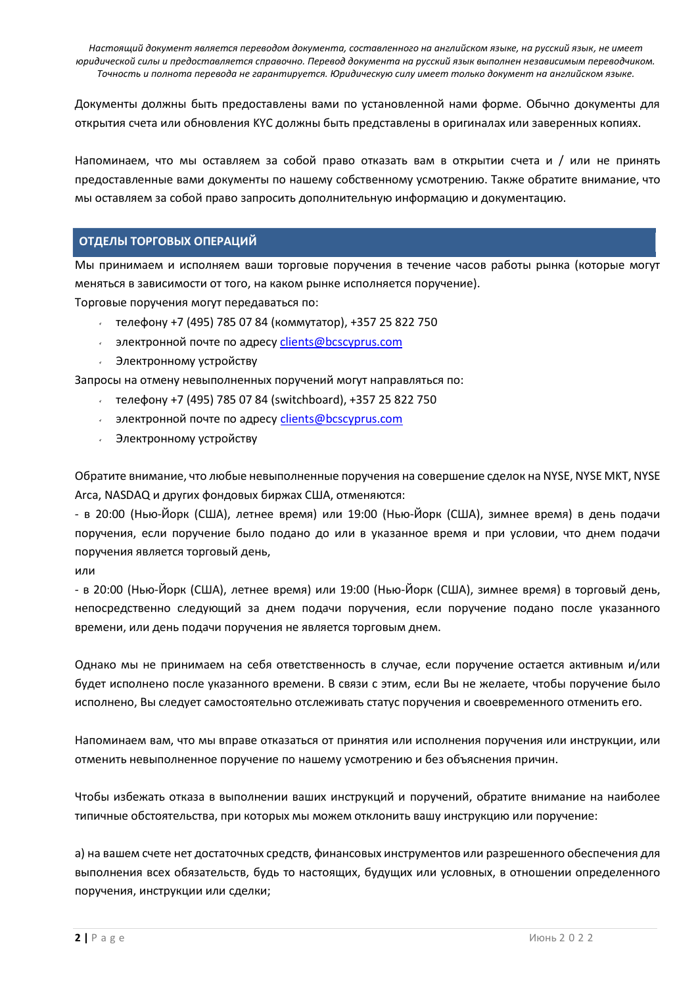Документы должны быть предоставлены вами по установленной нами форме. Обычно документы для открытия счета или обновления KYC должны быть представлены в оригиналах или заверенных копиях.

Напоминаем, что мы оставляем за собой право отказать вам в открытии счета и / или не принять предоставленные вами документы по нашему собственному усмотрению. Также обратите внимание, что мы оставляем за собой право запросить дополнительную информацию и документацию.

## **ОТДЕЛЫ ТОРГОВЫХ ОПЕРАЦИЙ**

Мы принимаем и исполняем ваши торговые поручения в течение часов работы рынка (которые могут меняться в зависимости от того, на каком рынке исполняется поручение). Торговые поручения могут передаваться по:

телефону +7 (495) 785 07 84 (коммутатор), +357 25 822 750

- $\sim$  электронной почте по адресу [clients@bcscyprus.com](mailto:clients@bcscyprus.com)
- Электронному устройству

Запросы на отмену невыполненных поручений могут направляться по:

- телефону +7 (495) 785 07 84 (switchboard), +357 25 822 750
- **В электронной почте по адресу [clients@bcscyprus.com](mailto:clients@bcscyprus.com)**
- Электронному устройству

Обратите внимание, что любые невыполненные поручения на совершение сделок на NYSE, NYSE MKT, NYSE Arca, NASDAQ и других фондовых биржах США, отменяются:

- в 20:00 (Нью-Йорк (США), летнее время) или 19:00 (Нью-Йорк (США), зимнее время) в день подачи поручения, если поручение было подано до или в указанное время и при условии, что днем подачи поручения является торговый день,

# или

- в 20:00 (Нью-Йорк (США), летнее время) или 19:00 (Нью-Йорк (США), зимнее время) в торговый день, непосредственно следующий за днем подачи поручения, если поручение подано после указанного времени, или день подачи поручения не является торговым днем.

Однако мы не принимаем на себя ответственность в случае, если поручение остается активным и/или будет исполнено после указанного времени. В связи с этим, если Вы не желаете, чтобы поручение было исполнено, Вы следует самостоятельно отслеживать статус поручения и своевременного отменить его.

Напоминаем вам, что мы вправе отказаться от принятия или исполнения поручения или инструкции, или отменить невыполненное поручение по нашему усмотрению и без объяснения причин.

Чтобы избежать отказа в выполнении ваших инструкций и поручений, обратите внимание на наиболее типичные обстоятельства, при которых мы можем отклонить вашу инструкцию или поручение:

а) на вашем счете нет достаточных средств, финансовых инструментов или разрешенного обеспечения для выполнения всех обязательств, будь то настоящих, будущих или условных, в отношении определенного поручения, инструкции или сделки;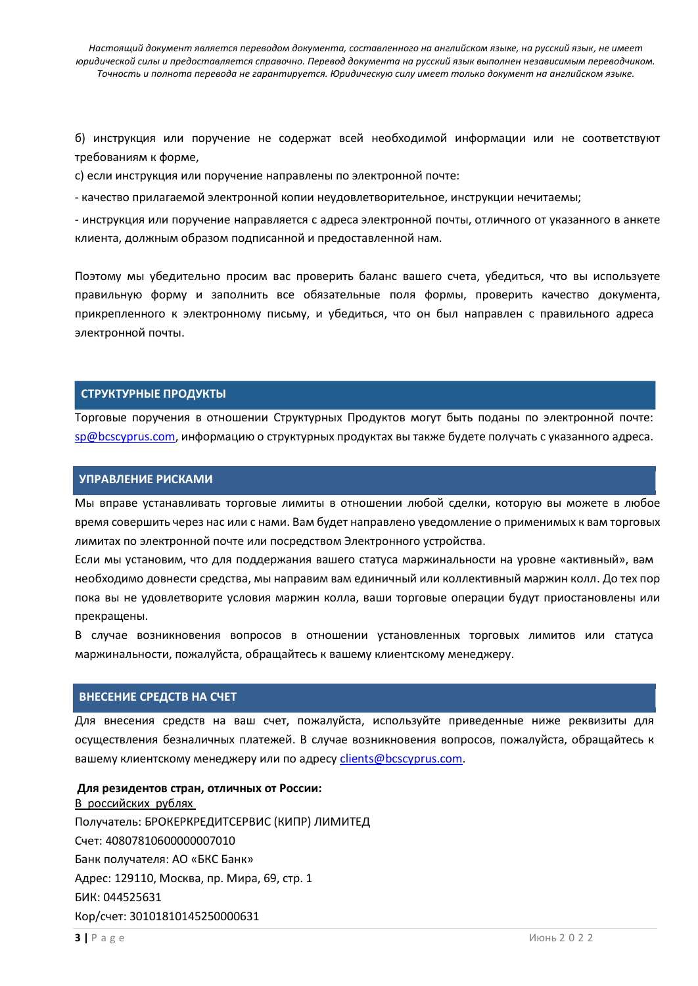б) инструкция или поручение не содержат всей необходимой информации или не соответствуют требованиям к форме,

c) если инструкция или поручение направлены по электронной почте:

- качество прилагаемой электронной копии неудовлетворительное, инструкции нечитаемы;

- инструкция или поручение направляется с адреса электронной почты, отличного от указанного в анкете клиента, должным образом подписанной и предоставленной нам.

Поэтому мы убедительно просим вас проверить баланс вашего счета, убедиться, что вы используете правильную форму и заполнить все обязательные поля формы, проверить качество документа, прикрепленного к электронному письму, и убедиться, что он был направлен с правильного адреса электронной почты.

### **СТРУКТУРНЫЕ ПРОДУКТЫ**

Торговые поручения в отношении Структурных Продуктов могут быть поданы по электронной почте: [sp@bcscyprus.com,](mailto:sp@bcscyprus.com) информацию о структурных продуктах вы также будете получать с указанного адреса.

#### **УПРАВЛЕНИЕ РИСКАМИ**

Мы вправе устанавливать торговые лимиты в отношении любой сделки, которую вы можете в любое время совершить через нас или с нами. Вам будет направлено уведомление о применимых к вам торговых лимитах по электронной почте или посредством Электронного устройства.

Если мы установим, что для поддержания вашего статуса маржинальности на уровне «активный», вам необходимо довнести средства, мы направим вам единичный или коллективный маржин колл. До тех пор пока вы не удовлетворите условия маржин колла, ваши торговые операции будут приостановлены или прекращены.

В случае возникновения вопросов в отношении установленных торговых лимитов или статуса маржинальности, пожалуйста, обращайтесь к вашему клиентскому менеджеру.

#### **ВНЕСЕНИЕ СРЕДСТВ НА СЧЕТ**

Для внесения средств на ваш счет, пожалуйста, используйте приведенные ниже реквизиты для осуществления безналичных платежей. В случае возникновения вопросов, пожалуйста, обращайтесь к вашему клиентскому менеджеру или по адресу [clients@bcscyprus.com.](mailto:clients@bcscyprus.com)

#### **Для резидентов стран, отличных от России:**

В российских рублях Получатель: БРОКЕРКРЕДИТСЕРВИС (КИПР) ЛИМИТЕД Счет: 40807810600000007010 Банк получателя: АО «БКС Банк» Адрес: 129110, Москва, пр. Мира, 69, стр. 1 БИК: 044525631 Кор/счет: 30101810145250000631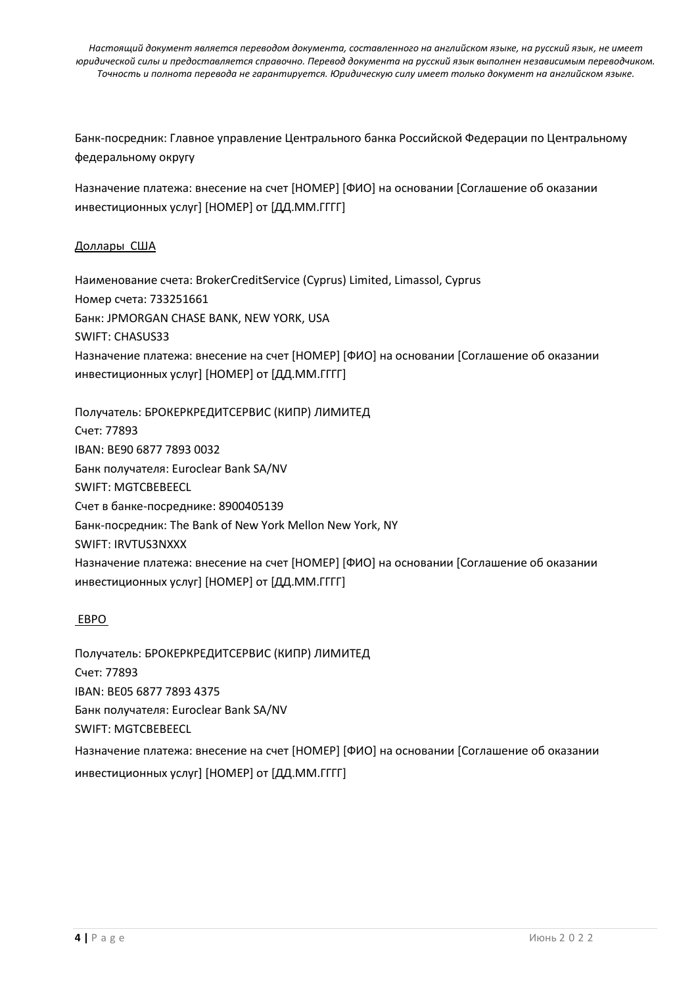Банк-посредник: Главное управление Центрального банка Российской Федерации по Центральному федеральному округу

Назначение платежа: внесение на счет [НОМЕР] [ФИО] на основании [Соглашение об оказании инвестиционных услуг] [НОМЕР] от [ДД.MM.ГГГГ]

## Доллары США

Наименование счета: BrokerCreditService (Cyprus) Limited, Limassol, Cyprus Номер счета: 733251661 Банк: JPMORGAN CHASE BANK, NEW YORK, USA SWIFT: CHASUS33 Назначение платежа: внесение на счет [НОМЕР] [ФИО] на основании [Соглашение об оказании инвестиционных услуг] [НОМЕР] от [ДД.MM.ГГГГ]

Получатель: БРОКЕРКРЕДИТСЕРВИС (КИПР) ЛИМИТЕД Счет: 77893 IBAN: BE90 6877 7893 0032 Банк получателя: Euroclear Bank SA/NV SWIFT: MGTCBEBEECL Счет в банке-посреднике: 8900405139 Банк-посредник: The Bank of New York Mellon New York, NY SWIFT: IRVTUS3NXXX Назначение платежа: внесение на счет [НОМЕР] [ФИО] на основании [Соглашение об оказании инвестиционных услуг] [НОМЕР] от [ДД.MM.ГГГГ]

### ЕВРО

Получатель: БРОКЕРКРЕДИТСЕРВИС (КИПР) ЛИМИТЕД Счет: 77893 IBAN: BE05 6877 7893 4375 Банк получателя: Euroclear Bank SA/NV SWIFT: MGTCBEBEECL Назначение платежа: внесение на счет [НОМЕР] [ФИО] на основании [Соглашение об оказании инвестиционных услуг] [НОМЕР] от [ДД.MM.ГГГГ]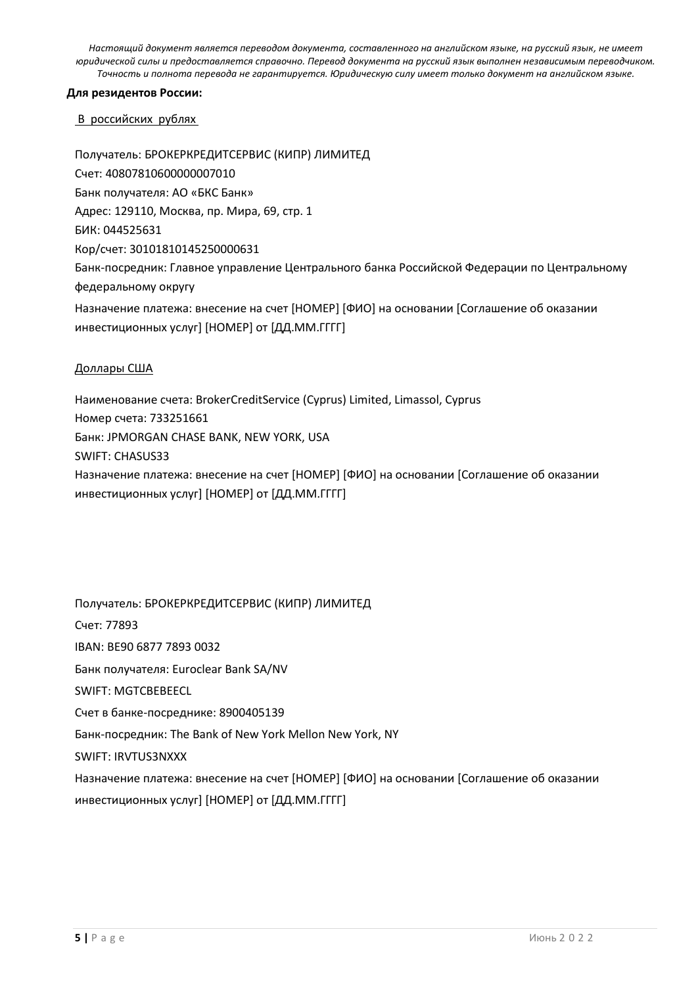### **Для резидентов России:**

#### В российских рублях

Получатель: БРОКЕРКРЕДИТСЕРВИС (КИПР) ЛИМИТЕД Счет: 40807810600000007010 Банк получателя: АО «БКС Банк» Адрес: 129110, Москва, пр. Мира, 69, стр. 1 БИК: 044525631 Кор/счет: 30101810145250000631 Банк-посредник: Главное управление Центрального банка Российской Федерации по Центральному федеральному округу Назначение платежа: внесение на счет [НОМЕР] [ФИО] на основании [Соглашение об оказании инвестиционных услуг] [НОМЕР] от [ДД.MM.ГГГГ]

### Доллары США

Наименование счета: BrokerCreditService (Cyprus) Limited, Limassol, Cyprus Номер счета: 733251661 Банк: JPMORGAN CHASE BANK, NEW YORK, USA SWIFT: CHASUS33 Назначение платежа: внесение на счет [НОМЕР] [ФИО] на основании [Соглашение об оказании инвестиционных услуг] [НОМЕР] от [ДД.MM.ГГГГ]

Получатель: БРОКЕРКРЕДИТСЕРВИС (КИПР) ЛИМИТЕД Счет: 77893 IBAN: BE90 6877 7893 0032 Банк получателя: Euroclear Bank SA/NV SWIFT: MGTCBEBEECL Счет в банке-посреднике: 8900405139 Банк-посредник: The Bank of New York Mellon New York, NY SWIFT: IRVTUS3NXXX Назначение платежа: внесение на счет [НОМЕР] [ФИО] на основании [Соглашение об оказании инвестиционных услуг] [НОМЕР] от [ДД.MM.ГГГГ]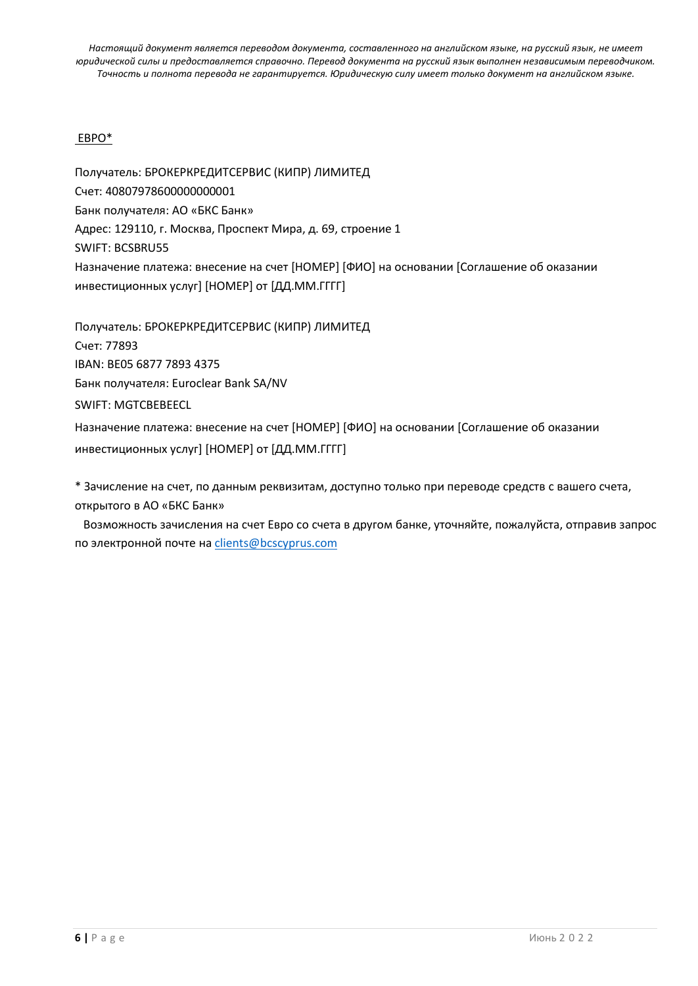## ЕВРО\*

Получатель: БРОКЕРКРЕДИТСЕРВИС (КИПР) ЛИМИТЕД Счет: 40807978600000000001 Банк получателя: АО «БКС Банк» Адрес: 129110, г. Москва, Проспект Мира, д. 69, строение 1 SWIFT: BCSBRU55 Назначение платежа: внесение на счет [НОМЕР] [ФИО] на основании [Соглашение об оказании инвестиционных услуг] [НОМЕР] от [ДД.MM.ГГГГ]

Получатель: БРОКЕРКРЕДИТСЕРВИС (КИПР) ЛИМИТЕД Счет: 77893 IBAN: BE05 6877 7893 4375 Банк получателя: Euroclear Bank SA/NV SWIFT: MGTCBEBEECL Назначение платежа: внесение на счет [НОМЕР] [ФИО] на основании [Соглашение об оказании инвестиционных услуг] [НОМЕР] от [ДД.MM.ГГГГ]

\* Зачисление на счет, по данным реквизитам, доступно только при переводе средств с вашего счета, открытого в АО «БКС Банк»

Возможность зачисления на счет Евро со счета в другом банке, уточняйте, пожалуйста, отправив запрос по электронной почте на [clients@bcscyprus.com](mailto:clients@bcscyprus.com)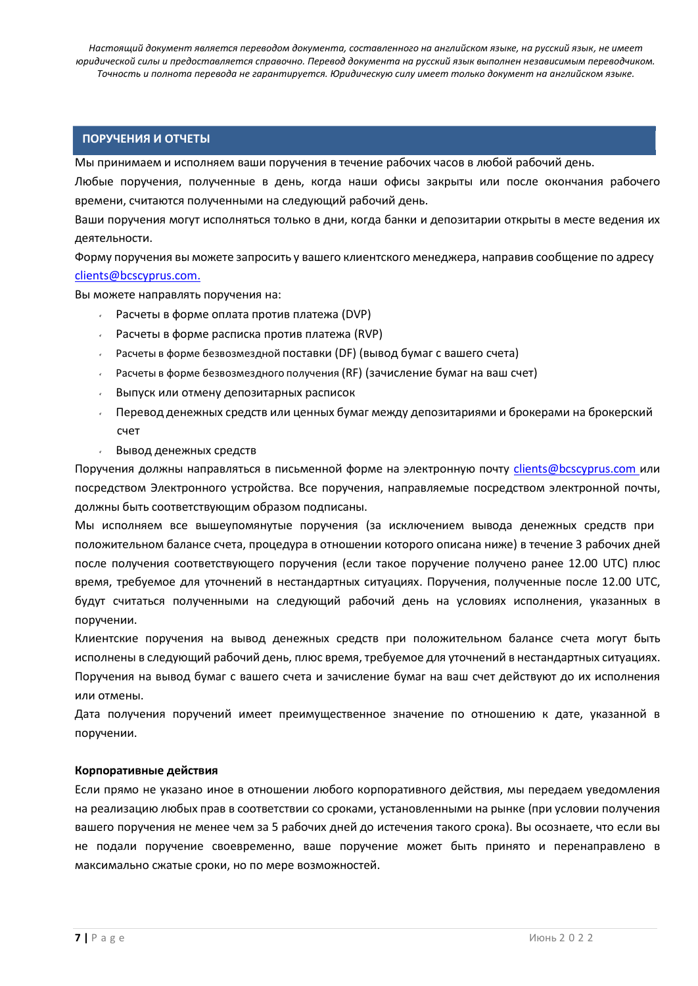### **ПОРУЧЕНИЯ И ОТЧЕТЫ**

Мы принимаем и исполняем ваши поручения в течение рабочих часов в любой рабочий день.

Любые поручения, полученные в день, когда наши офисы закрыты или после окончания рабочего времени, считаются полученными на следующий рабочий день.

Ваши поручения могут исполняться только в дни, когда банки и депозитарии открыты в месте ведения их деятельности.

Форму поручения вы можете запросить у вашего клиентского менеджера, направив сообщение по адресу [clients@bcscyprus.com.](mailto:clients@bcscyprus.com)

Вы можете направлять поручения на:

- Расчеты в форме оплата против платежа (DVP)
- Расчеты в форме расписка против платежа (RVP)
- Расчеты в форме безвозмездной поставки (DF) (вывод бумаг с вашего счета)
- Расчеты в форме безвозмездного получения (RF) (зачисление бумаг на ваш счет)
- Выпуск или отмену депозитарных расписок
- Перевод денежных средств или ценных бумаг между депозитариями и брокерами на брокерский счет
- Вывод денежных средств

Поручения должны направляться в письменной форме на электронную почту [clients@bcscyprus.com](mailto:clients@bcscyprus.com) или посредством Электронного устройства. Все поручения, направляемые посредством электронной почты, должны быть соответствующим образом подписаны.

Мы исполняем все вышеупомянутые поручения (за исключением вывода денежных средств при положительном балансе счета, процедура в отношении которого описана ниже) в течение 3 рабочих дней после получения соответствующего поручения (если такое поручение получено ранее 12.00 UTC) плюс время, требуемое для уточнений в нестандартных ситуациях. Поручения, полученные после 12.00 UTC, будут считаться полученными на следующий рабочий день на условиях исполнения, указанных в поручении.

Клиентские поручения на вывод денежных средств при положительном балансе счета могут быть исполнены в следующий рабочий день, плюс время, требуемое для уточнений в нестандартных ситуациях. Поручения на вывод бумаг с вашего счета и зачисление бумаг на ваш счет действуют до их исполнения или отмены.

Дата получения поручений имеет преимущественное значение по отношению к дате, указанной в поручении.

#### **Корпоративные действия**

Если прямо не указано иное в отношении любого корпоративного действия, мы передаем уведомления на реализацию любых прав в соответствии со сроками, установленными на рынке (при условии получения вашего поручения не менее чем за 5 рабочих дней до истечения такого срока). Вы осознаете, что если вы не подали поручение своевременно, ваше поручение может быть принято и перенаправлено в максимально сжатые сроки, но по мере возможностей.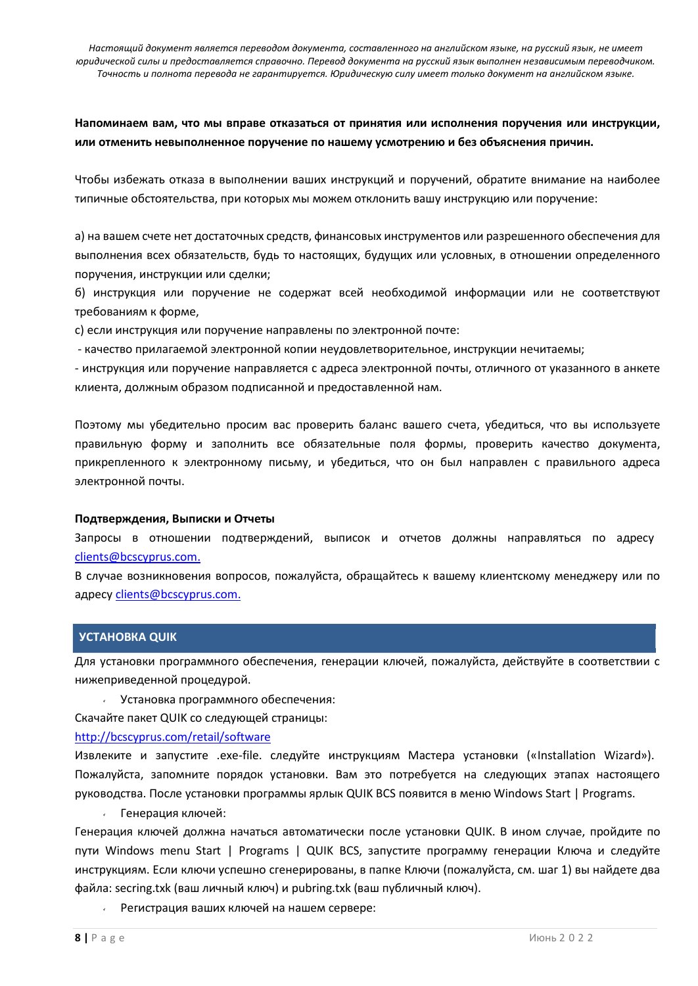## **Напоминаем вам, что мы вправе отказаться от принятия или исполнения поручения или инструкции, или отменить невыполненное поручение по нашему усмотрению и без объяснения причин.**

Чтобы избежать отказа в выполнении ваших инструкций и поручений, обратите внимание на наиболее типичные обстоятельства, при которых мы можем отклонить вашу инструкцию или поручение:

а) на вашем счете нет достаточных средств, финансовых инструментов или разрешенного обеспечения для выполнения всех обязательств, будь то настоящих, будущих или условных, в отношении определенного поручения, инструкции или сделки;

б) инструкция или поручение не содержат всей необходимой информации или не соответствуют требованиям к форме,

c) если инструкция или поручение направлены по электронной почте:

- качество прилагаемой электронной копии неудовлетворительное, инструкции нечитаемы;

- инструкция или поручение направляется с адреса электронной почты, отличного от указанного в анкете клиента, должным образом подписанной и предоставленной нам.

Поэтому мы убедительно просим вас проверить баланс вашего счета, убедиться, что вы используете правильную форму и заполнить все обязательные поля формы, проверить качество документа, прикрепленного к электронному письму, и убедиться, что он был направлен с правильного адреса электронной почты.

#### **Подтверждения, Выписки и Отчеты**

Запросы в отношении подтверждений, выписок и отчетов должны направляться по адресу [clients@bcscyprus.com.](mailto:clients@bcscyprus.com)

В случае возникновения вопросов, пожалуйста, обращайтесь к вашему клиентскому менеджеру или по адресу [clients@bcscyprus.com.](mailto:clients@bcscyprus.com)

### **УСТАНОВКА QUIK**

Для установки программного обеспечения, генерации ключей, пожалуйста, действуйте в соответствии с нижеприведенной процедурой.

Установка программного обеспечения:

Скачайте пакет QUIK со следующей страницы:

### <http://bcscyprus.com/retail/software>

Извлеките и запустите .exe-file. следуйте инструкциям Мастера установки («Installation Wizard»). Пожалуйста, запомните порядок установки. Вам это потребуется на следующих этапах настоящего руководства. После установки программы ярлык QUIK BCS появится в меню Windows Start | Programs.

Генерация ключей:

Генерация ключей должна начаться автоматически после установки QUIK. В ином случае, пройдите по пути Windows menu Start | Programs | QUIK BCS, запустите программу генерации Ключа и следуйте инструкциям. Если ключи успешно сгенерированы, в папке Ключи (пожалуйста, см. шаг 1) вы найдете два файла: secring.txk (ваш личный ключ) и pubring.txk (ваш публичный ключ).

Регистрация ваших ключей на нашем сервере: